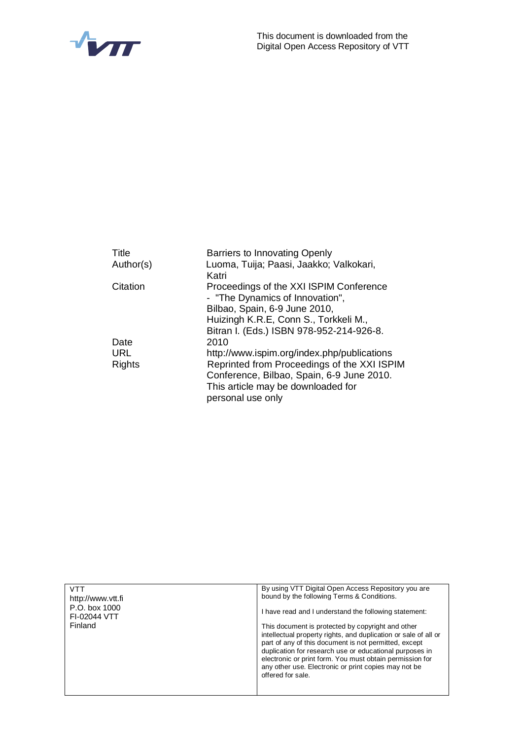

| Title<br>Author(s) | Barriers to Innovating Openly<br>Luoma, Tuija; Paasi, Jaakko; Valkokari,<br>Katri                    |
|--------------------|------------------------------------------------------------------------------------------------------|
| Citation           | Proceedings of the XXI ISPIM Conference<br>- "The Dynamics of Innovation",                           |
|                    | Bilbao, Spain, 6-9 June 2010,                                                                        |
|                    | Huizingh K.R.E, Conn S., Torkkeli M.,                                                                |
|                    | Bitran I. (Eds.) ISBN 978-952-214-926-8.                                                             |
| Date               | 2010                                                                                                 |
| <b>URL</b>         | http://www.ispim.org/index.php/publications                                                          |
| <b>Rights</b>      | Reprinted from Proceedings of the XXI ISPIM                                                          |
|                    | Conference, Bilbao, Spain, 6-9 June 2010.<br>This article may be downloaded for<br>personal use only |

| VTT<br>http://www.ytt.fi      | By using VTT Digital Open Access Repository you are<br>bound by the following Terms & Conditions.                                                                                                                                                                                                                                                                                 |
|-------------------------------|-----------------------------------------------------------------------------------------------------------------------------------------------------------------------------------------------------------------------------------------------------------------------------------------------------------------------------------------------------------------------------------|
| P.O. box 1000<br>FI-02044 VTT | I have read and I understand the following statement:                                                                                                                                                                                                                                                                                                                             |
| Finland                       | This document is protected by copyright and other<br>intellectual property rights, and duplication or sale of all or<br>part of any of this document is not permitted, except<br>duplication for research use or educational purposes in<br>electronic or print form. You must obtain permission for<br>any other use. Electronic or print copies may not be<br>offered for sale. |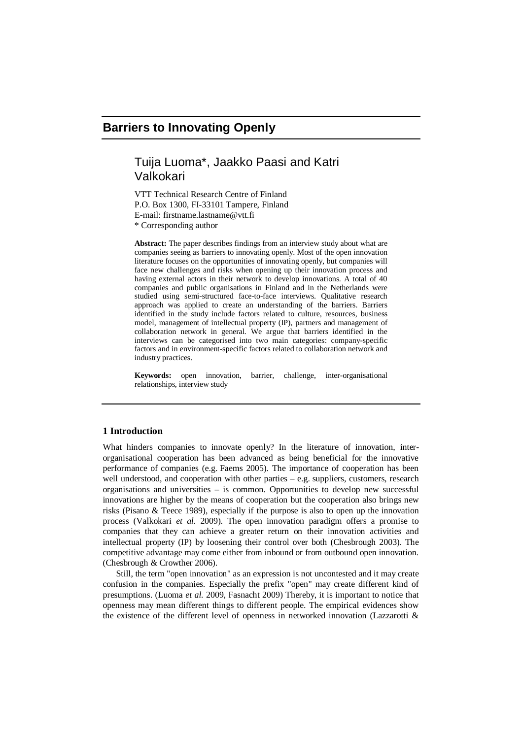# **Barriers to Innovating Openly**

# Tuija Luoma\*, Jaakko Paasi and Katri Valkokari

VTT Technical Research Centre of Finland P.O. Box 1300, FI-33101 Tampere, Finland E-mail: [firstname.lastname@vtt.fi](mailto:firstname.lastname@vtt.fi) \* Corresponding author

**Abstract:** The paper describes findings from an interview study about what are companies seeing as barriers to innovating openly. Most of the open innovation literature focuses on the opportunities of innovating openly, but companies will face new challenges and risks when opening up their innovation process and having external actors in their network to develop innovations. A total of 40 companies and public organisations in Finland and in the Netherlands were studied using semi-structured face-to-face interviews. Qualitative research approach was applied to create an understanding of the barriers. Barriers identified in the study include factors related to culture, resources, business model, management of intellectual property (IP), partners and management of collaboration network in general. We argue that barriers identified in the interviews can be categorised into two main categories: company-specific factors and in environment-specific factors related to collaboration network and industry practices.

**Keywords:** open innovation, barrier, challenge, inter-organisational relationships, interview study

# **1 Introduction**

What hinders companies to innovate openly? In the literature of innovation, interorganisational cooperation has been advanced as being beneficial for the innovative performance of companies (e.g. Faems 2005). The importance of cooperation has been well understood, and cooperation with other parties – e.g. suppliers, customers, research organisations and universities – is common. Opportunities to develop new successful innovations are higher by the means of cooperation but the cooperation also brings new risks (Pisano & Teece 1989), especially if the purpose is also to open up the innovation process (Valkokari *et al.* 2009). The open innovation paradigm offers a promise to companies that they can achieve a greater return on their innovation activities and intellectual property (IP) by loosening their control over both (Chesbrough 2003). The competitive advantage may come either from inbound or from outbound open innovation. (Chesbrough & Crowther 2006).

Still, the term "open innovation" as an expression is not uncontested and it may create confusion in the companies. Especially the prefix "open" may create different kind of presumptions. (Luoma *et al.* 2009, Fasnacht 2009) Thereby, it is important to notice that openness may mean different things to different people. The empirical evidences show the existence of the different level of openness in networked innovation (Lazzarotti &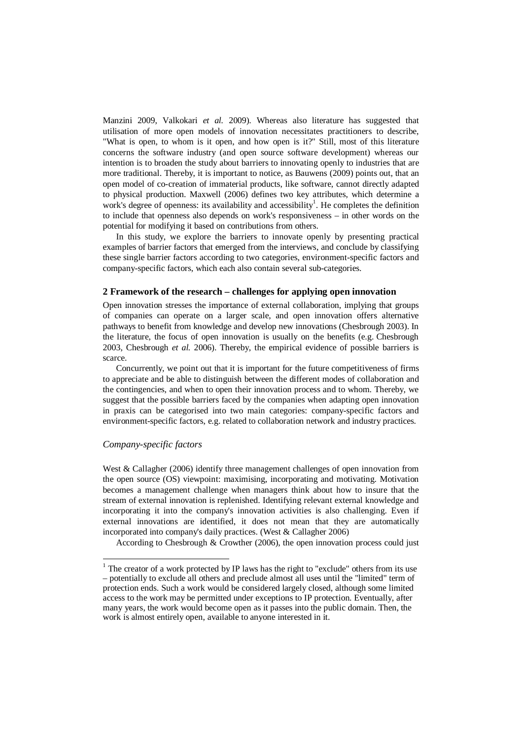Manzini 2009, Valkokari *et al.* 2009). Whereas also literature has suggested that utilisation of more open models of innovation necessitates practitioners to describe, "What is open, to whom is it open, and how open is it?" Still, most of this literature concerns the software industry (and open source software development) whereas our intention is to broaden the study about barriers to innovating openly to industries that are more traditional. Thereby, it is important to notice, as Bauwens (2009) points out, that an open model of co-creation of immaterial products, like software, cannot directly adapted to physical production. Maxwell (2006) defines two key attributes, which determine a work's degree of openness: its availability and accessibility<sup>1</sup>. He completes the definition to include that openness also depends on work's responsiveness – in other words on the potential for modifying it based on contributions from others.

In this study, we explore the barriers to innovate openly by presenting practical examples of barrier factors that emerged from the interviews, and conclude by classifying these single barrier factors according to two categories, environment-specific factors and company-specific factors, which each also contain several sub-categories.

# **2 Framework of the research – challenges for applying open innovation**

Open innovation stresses the importance of external collaboration, implying that groups of companies can operate on a larger scale, and open innovation offers alternative pathways to benefit from knowledge and develop new innovations (Chesbrough 2003). In the literature, the focus of open innovation is usually on the benefits (e.g. Chesbrough 2003, Chesbrough *et al.* 2006). Thereby, the empirical evidence of possible barriers is scarce.

Concurrently, we point out that it is important for the future competitiveness of firms to appreciate and be able to distinguish between the different modes of collaboration and the contingencies, and when to open their innovation process and to whom. Thereby, we suggest that the possible barriers faced by the companies when adapting open innovation in praxis can be categorised into two main categories: company-specific factors and environment-specific factors, e.g. related to collaboration network and industry practices.

# *Company-specific factors*

West & Callagher (2006) identify three management challenges of open innovation from the open source (OS) viewpoint: maximising, incorporating and motivating. Motivation becomes a management challenge when managers think about how to insure that the stream of external innovation is replenished. Identifying relevant external knowledge and incorporating it into the company's innovation activities is also challenging. Even if external innovations are identified, it does not mean that they are automatically incorporated into company's daily practices. (West & Callagher 2006)

According to Chesbrough & Crowther (2006), the open innovation process could just

 $1$  The creator of a work protected by IP laws has the right to "exclude" others from its use – potentially to exclude all others and preclude almost all uses until the "limited" term of protection ends. Such a work would be considered largely closed, although some limited access to the work may be permitted under exceptions to IP protection. Eventually, after many years, the work would become open as it passes into the public domain. Then, the work is almost entirely open, available to anyone interested in it.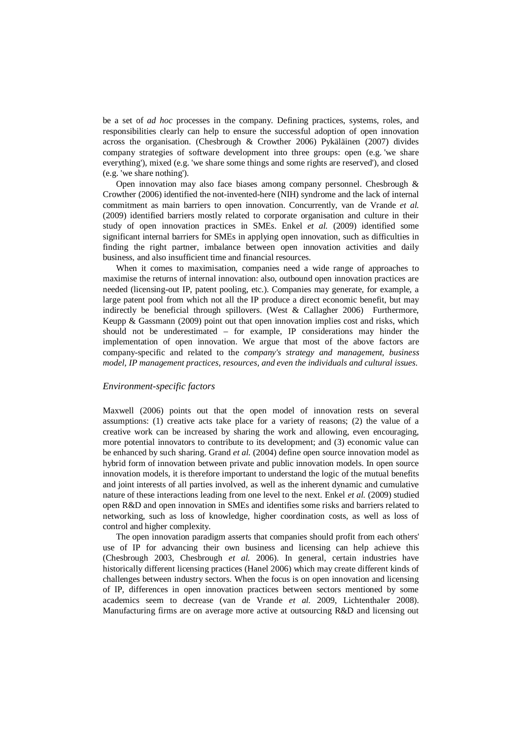be a set of *ad hoc* processes in the company. Defining practices, systems, roles, and responsibilities clearly can help to ensure the successful adoption of open innovation across the organisation. (Chesbrough & Crowther 2006) Pykäläinen (2007) divides company strategies of software development into three groups: open (e.g. 'we share everything'), mixed (e.g. 'we share some things and some rights are reserved'), and closed (e.g. 'we share nothing').

Open innovation may also face biases among company personnel. Chesbrough & Crowther (2006) identified the not-invented-here (NIH) syndrome and the lack of internal commitment as main barriers to open innovation. Concurrently, van de Vrande *et al.* (2009) identified barriers mostly related to corporate organisation and culture in their study of open innovation practices in SMEs. Enkel *et al.* (2009) identified some significant internal barriers for SMEs in applying open innovation, such as difficulties in finding the right partner, imbalance between open innovation activities and daily business, and also insufficient time and financial resources.

When it comes to maximisation, companies need a wide range of approaches to maximise the returns of internal innovation: also, outbound open innovation practices are needed (licensing-out IP, patent pooling, etc.). Companies may generate, for example, a large patent pool from which not all the IP produce a direct economic benefit, but may indirectly be beneficial through spillovers. (West & Callagher 2006) Furthermore, Keupp & Gassmann (2009) point out that open innovation implies cost and risks, which should not be underestimated – for example, IP considerations may hinder the implementation of open innovation. We argue that most of the above factors are company-specific and related to the *company's strategy and management, business model, IP management practices, resources, and even the individuals and cultural issues*.

### *Environment-specific factors*

Maxwell (2006) points out that the open model of innovation rests on several assumptions: (1) creative acts take place for a variety of reasons; (2) the value of a creative work can be increased by sharing the work and allowing, even encouraging, more potential innovators to contribute to its development; and (3) economic value can be enhanced by such sharing. Grand *et al.* (2004) define open source innovation model as hybrid form of innovation between private and public innovation models. In open source innovation models, it is therefore important to understand the logic of the mutual benefits and joint interests of all parties involved, as well as the inherent dynamic and cumulative nature of these interactions leading from one level to the next. Enkel *et al.* (2009) studied open R&D and open innovation in SMEs and identifies some risks and barriers related to networking, such as loss of knowledge, higher coordination costs, as well as loss of control and higher complexity.

The open innovation paradigm asserts that companies should profit from each others' use of IP for advancing their own business and licensing can help achieve this (Chesbrough 2003, Chesbrough *et al.* 2006). In general, certain industries have historically different licensing practices (Hanel 2006) which may create different kinds of challenges between industry sectors. When the focus is on open innovation and licensing of IP, differences in open innovation practices between sectors mentioned by some academics seem to decrease (van de Vrande *et al.* 2009, Lichtenthaler 2008). Manufacturing firms are on average more active at outsourcing R&D and licensing out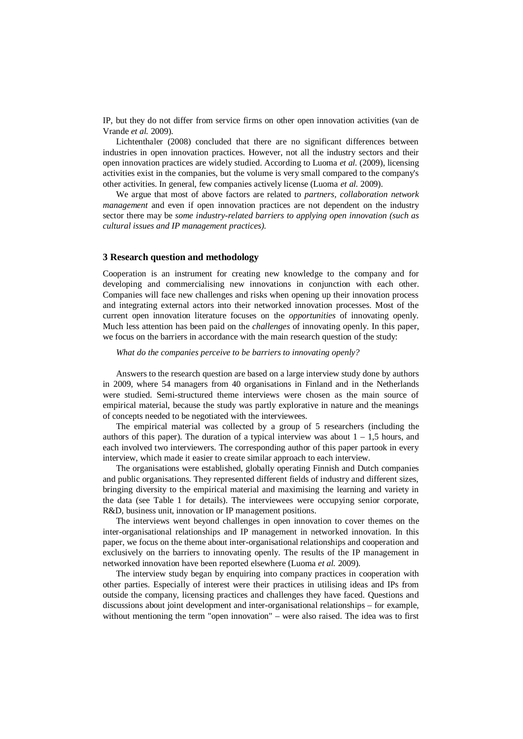IP, but they do not differ from service firms on other open innovation activities (van de Vrande *et al.* 2009).

Lichtenthaler (2008) concluded that there are no significant differences between industries in open innovation practices. However, not all the industry sectors and their open innovation practices are widely studied. According to Luoma *et al.* (2009), licensing activities exist in the companies, but the volume is very small compared to the company's other activities. In general, few companies actively license (Luoma *et al.* 2009).

We argue that most of above factors are related to *partners, collaboration network management* and even if open innovation practices are not dependent on the industry sector there may be *some industry-related barriers to applying open innovation (such as cultural issues and IP management practices).*

### **3 Research question and methodology**

Cooperation is an instrument for creating new knowledge to the company and for developing and commercialising new innovations in conjunction with each other. Companies will face new challenges and risks when opening up their innovation process and integrating external actors into their networked innovation processes. Most of the current open innovation literature focuses on the *opportunities* of innovating openly. Much less attention has been paid on the *challenges* of innovating openly. In this paper, we focus on the barriers in accordance with the main research question of the study:

# *What do the companies perceive to be barriers to innovating openly?*

Answers to the research question are based on a large interview study done by authors in 2009, where 54 managers from 40 organisations in Finland and in the Netherlands were studied. Semi-structured theme interviews were chosen as the main source of empirical material, because the study was partly explorative in nature and the meanings of concepts needed to be negotiated with the interviewees.

The empirical material was collected by a group of 5 researchers (including the authors of this paper). The duration of a typical interview was about  $1 - 1.5$  hours, and each involved two interviewers. The corresponding author of this paper partook in every interview, which made it easier to create similar approach to each interview.

The organisations were established, globally operating Finnish and Dutch companies and public organisations. They represented different fields of industry and different sizes, bringing diversity to the empirical material and maximising the learning and variety in the data (see Table 1 for details). The interviewees were occupying senior corporate, R&D, business unit, innovation or IP management positions.

The interviews went beyond challenges in open innovation to cover themes on the inter-organisational relationships and IP management in networked innovation. In this paper, we focus on the theme about inter-organisational relationships and cooperation and exclusively on the barriers to innovating openly. The results of the IP management in networked innovation have been reported elsewhere (Luoma *et al.* 2009).

The interview study began by enquiring into company practices in cooperation with other parties. Especially of interest were their practices in utilising ideas and IPs from outside the company, licensing practices and challenges they have faced. Questions and discussions about joint development and inter-organisational relationships – for example, without mentioning the term "open innovation" – were also raised. The idea was to first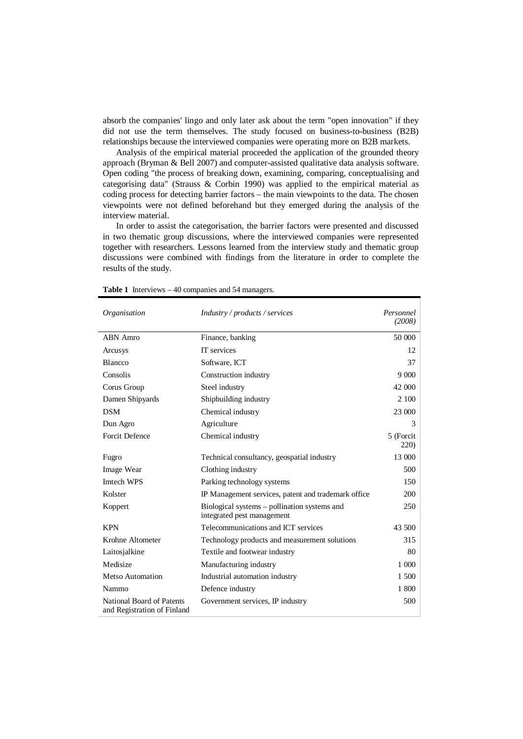absorb the companies' lingo and only later ask about the term "open innovation" if they did not use the term themselves. The study focused on business-to-business (B2B) relationships because the interviewed companies were operating more on B2B markets.

Analysis of the empirical material proceeded the application of the grounded theory approach (Bryman & Bell 2007) and computer-assisted qualitative data analysis software. Open coding "the process of breaking down, examining, comparing, conceptualising and categorising data" (Strauss & Corbin 1990) was applied to the empirical material as coding process for detecting barrier factors – the main viewpoints to the data. The chosen viewpoints were not defined beforehand but they emerged during the analysis of the interview material.

In order to assist the categorisation, the barrier factors were presented and discussed in two thematic group discussions, where the interviewed companies were represented together with researchers. Lessons learned from the interview study and thematic group discussions were combined with findings from the literature in order to complete the results of the study.

| Organisation                                             | Industry / products / services                                             | Personnel<br>(2008)        |
|----------------------------------------------------------|----------------------------------------------------------------------------|----------------------------|
| <b>ABN</b> Amro                                          | Finance, banking                                                           | 50 000                     |
| Arcusys                                                  | IT services                                                                | 12                         |
| Blancco                                                  | Software, ICT                                                              | 37                         |
| Consolis                                                 | Construction industry                                                      |                            |
| Corus Group                                              | Steel industry                                                             | 42 000                     |
| Damen Shipyards                                          | Shipbuilding industry                                                      | 2 100                      |
| <b>DSM</b>                                               | Chemical industry                                                          | 23 000                     |
| Dun Agro                                                 | Agriculture                                                                | 3                          |
| <b>Forcit Defence</b>                                    | Chemical industry                                                          | 5 (Forcit)<br><b>220</b> ) |
| Fugro                                                    | Technical consultancy, geospatial industry                                 | 13 000                     |
| Image Wear                                               | Clothing industry                                                          | 500                        |
| Imtech WPS                                               | Parking technology systems                                                 | 150                        |
| Kolster                                                  | IP Management services, patent and trademark office                        | 200                        |
| Koppert                                                  | Biological systems – pollination systems and<br>integrated pest management | 250                        |
| <b>KPN</b>                                               | Telecommunications and ICT services                                        | 43.500                     |
| Krohne Altometer                                         | Technology products and measurement solutions                              | 315                        |
| Laitosjalkine                                            | Textile and footwear industry                                              | 80                         |
| Medisize                                                 | Manufacturing industry                                                     | 1 000                      |
| Metso Automation                                         | Industrial automation industry                                             | 1 500                      |
| Nammo                                                    | Defence industry                                                           | 1 800                      |
| National Board of Patents<br>and Registration of Finland | Government services, IP industry                                           | 500                        |

**Table 1** Interviews – 40 companies and 54 managers.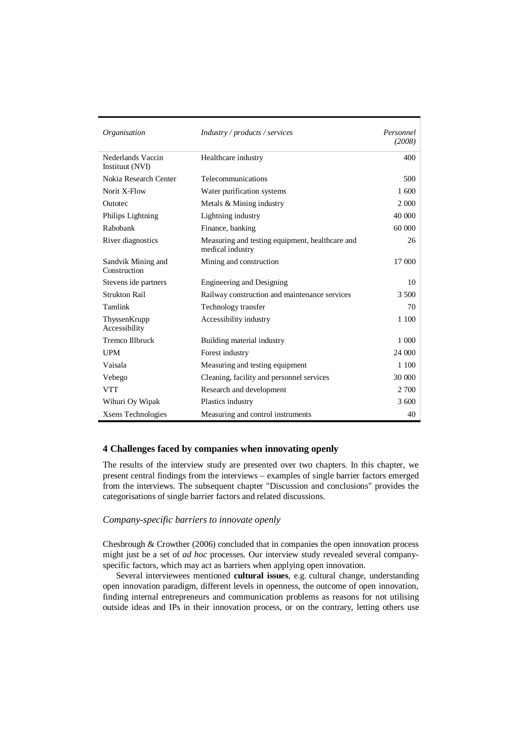| Organisation                         | Industry / products / services                                      | Personnel<br>(2008) |
|--------------------------------------|---------------------------------------------------------------------|---------------------|
| Nederlands Vaccin<br>Instituut (NVI) | Healthcare industry                                                 | 400                 |
| Nokia Research Center                | Telecommunications                                                  | 500                 |
| Norit X-Flow                         | Water purification systems                                          | 1 600               |
| Outotec                              | Metals & Mining industry                                            | 2 0 0 0             |
| Philips Lightning                    | Lightning industry                                                  | 40 000              |
| Rabobank                             | Finance, banking                                                    | 60 000              |
| River diagnostics                    | Measuring and testing equipment, healthcare and<br>medical industry | 26                  |
| Sandvik Mining and<br>Construction   | Mining and construction                                             | 17 000              |
| Stevens ide partners                 | <b>Engineering and Designing</b>                                    | 10                  |
| <b>Strukton Rail</b>                 | Railway construction and maintenance services                       | 3 500               |
| Tamlink                              | Technology transfer                                                 | 70                  |
| ThyssenKrupp<br>Accessibility        | Accessibility industry                                              | 1 100               |
| <b>Tremco Illbruck</b>               | Building material industry                                          | 1 000               |
| <b>UPM</b>                           | Forest industry                                                     | 24 000              |
| Vaisala                              | Measuring and testing equipment                                     | 1 100               |
| Vebego                               | Cleaning, facility and personnel services                           | 30 000              |
| <b>VTT</b>                           | Research and development                                            | 2 700               |
| Wihuri Oy Wipak                      | Plastics industry                                                   | 3 600               |
| Xsens Technologies                   | Measuring and control instruments                                   | 40                  |

# **4 Challenges faced by companies when innovating openly**

The results of the interview study are presented over two chapters. In this chapter, we present central findings from the interviews – examples of single barrier factors emerged from the interviews. The subsequent chapter "Discussion and conclusions" provides the categorisations of single barrier factors and related discussions.

# *Company-specific barriers to innovate openly*

Chesbrough & Crowther (2006) concluded that in companies the open innovation process might just be a set of *ad hoc* processes. Our interview study revealed several companyspecific factors, which may act as barriers when applying open innovation.

Several interviewees mentioned **cultural issues**, e.g. cultural change, understanding open innovation paradigm, different levels in openness, the outcome of open innovation, finding internal entrepreneurs and communication problems as reasons for not utilising outside ideas and IPs in their innovation process, or on the contrary, letting others use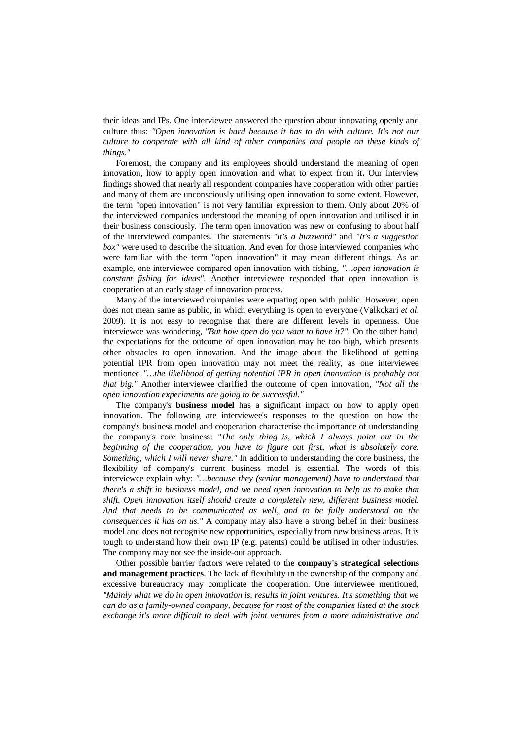their ideas and IPs. One interviewee answered the question about innovating openly and culture thus: *"Open innovation is hard because it has to do with culture. It's not our culture to cooperate with all kind of other companies and people on these kinds of things."*

Foremost, the company and its employees should understand the meaning of open innovation, how to apply open innovation and what to expect from it**.** Our interview findings showed that nearly all respondent companies have cooperation with other parties and many of them are unconsciously utilising open innovation to some extent. However, the term "open innovation" is not very familiar expression to them. Only about 20% of the interviewed companies understood the meaning of open innovation and utilised it in their business consciously. The term open innovation was new or confusing to about half of the interviewed companies. The statements *"It's a buzzword"* and *"It's a suggestion box"* were used to describe the situation. And even for those interviewed companies who were familiar with the term "open innovation" it may mean different things. As an example, one interviewee compared open innovation with fishing, *"…open innovation is constant fishing for ideas"*. Another interviewee responded that open innovation is cooperation at an early stage of innovation process.

Many of the interviewed companies were equating open with public. However, open does not mean same as public, in which everything is open to everyone (Valkokari *et al*. 2009). It is not easy to recognise that there are different levels in openness. One interviewee was wondering, *"But how open do you want to have it?".* On the other hand, the expectations for the outcome of open innovation may be too high, which presents other obstacles to open innovation. And the image about the likelihood of getting potential IPR from open innovation may not meet the reality, as one interviewee mentioned *"…the likelihood of getting potential IPR in open innovation is probably not that big."* Another interviewee clarified the outcome of open innovation, *"Not all the open innovation experiments are going to be successful."*

The company's **business model** has a significant impact on how to apply open innovation. The following are interviewee's responses to the question on how the company's business model and cooperation characterise the importance of understanding the company's core business: *"The only thing is, which I always point out in the beginning of the cooperation, you have to figure out first, what is absolutely core. Something, which I will never share."* In addition to understanding the core business, the flexibility of company's current business model is essential. The words of this interviewee explain why: *"…because they (senior management) have to understand that there's a shift in business model, and we need open innovation to help us to make that shift. Open innovation itself should create a completely new, different business model. And that needs to be communicated as well, and to be fully understood on the consequences it has on us."* A company may also have a strong belief in their business model and does not recognise new opportunities, especially from new business areas. It is tough to understand how their own IP (e.g. patents) could be utilised in other industries. The company may not see the inside-out approach.

Other possible barrier factors were related to the **company's strategical selections and management practices**. The lack of flexibility in the ownership of the company and excessive bureaucracy may complicate the cooperation. One interviewee mentioned, *"Mainly what we do in open innovation is, results in joint ventures. It's something that we can do as a family-owned company, because for most of the companies listed at the stock exchange it's more difficult to deal with joint ventures from a more administrative and*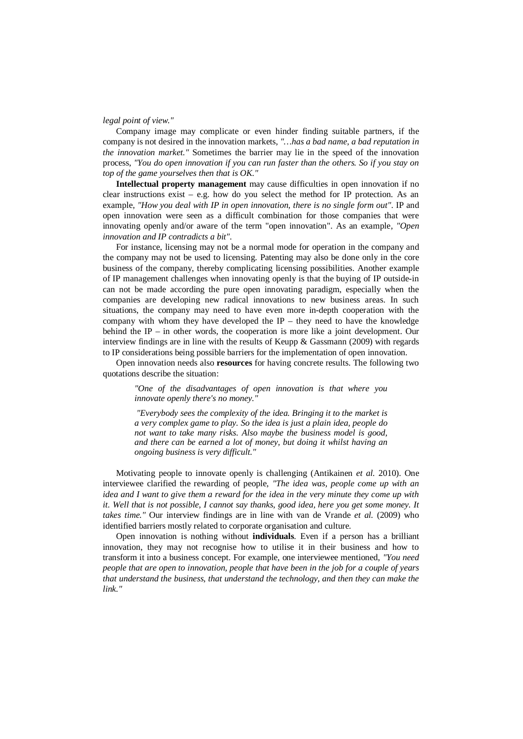#### *legal point of view."*

Company image may complicate or even hinder finding suitable partners, if the company is not desired in the innovation markets, *"…has a bad name, a bad reputation in the innovation market."* Sometimes the barrier may lie in the speed of the innovation process, *"You do open innovation if you can run faster than the others. So if you stay on top of the game yourselves then that is OK."*

**Intellectual property management** may cause difficulties in open innovation if no clear instructions exist – e.g. how do you select the method for IP protection. As an example, *"How you deal with IP in open innovation, there is no single form out"*. IP and open innovation were seen as a difficult combination for those companies that were innovating openly and/or aware of the term "open innovation". As an example*, "Open innovation and IP contradicts a bit"*.

For instance, licensing may not be a normal mode for operation in the company and the company may not be used to licensing. Patenting may also be done only in the core business of the company, thereby complicating licensing possibilities. Another example of IP management challenges when innovating openly is that the buying of IP outside-in can not be made according the pure open innovating paradigm, especially when the companies are developing new radical innovations to new business areas. In such situations, the company may need to have even more in-depth cooperation with the company with whom they have developed the IP – they need to have the knowledge behind the IP – in other words, the cooperation is more like a joint development. Our interview findings are in line with the results of Keupp  $\&$  Gassmann (2009) with regards to IP considerations being possible barriers for the implementation of open innovation.

Open innovation needs also **resources** for having concrete results. The following two quotations describe the situation:

*"One of the disadvantages of open innovation is that where you innovate openly there's no money."*

 *"Everybody sees the complexity of the idea. Bringing it to the market is a very complex game to play. So the idea is just a plain idea, people do not want to take many risks. Also maybe the business model is good, and there can be earned a lot of money, but doing it whilst having an ongoing business is very difficult."*

Motivating people to innovate openly is challenging (Antikainen *et al.* 2010). One interviewee clarified the rewarding of people, *"The idea was, people come up with an idea and I want to give them a reward for the idea in the very minute they come up with it. Well that is not possible, I cannot say thanks, good idea, here you get some money. It takes time."* Our interview findings are in line with van de Vrande *et al.* (2009) who identified barriers mostly related to corporate organisation and culture.

Open innovation is nothing without **individuals**. Even if a person has a brilliant innovation, they may not recognise how to utilise it in their business and how to transform it into a business concept. For example, one interviewee mentioned, *"You need people that are open to innovation, people that have been in the job for a couple of years that understand the business, that understand the technology, and then they can make the link."*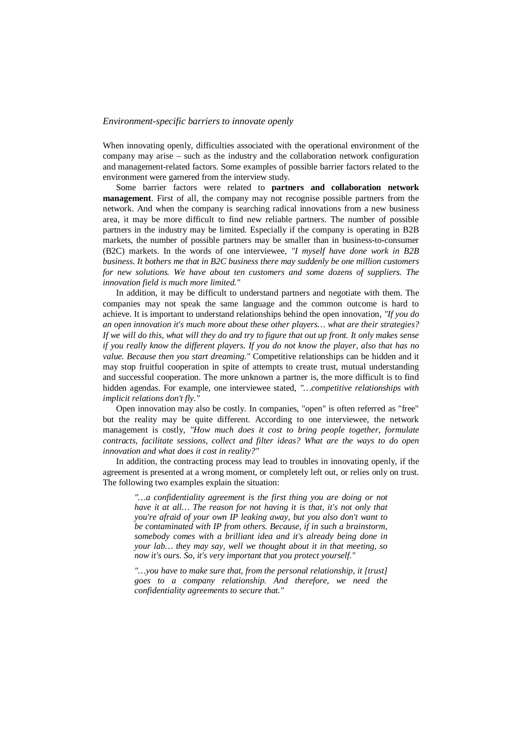# *Environment-specific barriers to innovate openly*

When innovating openly, difficulties associated with the operational environment of the company may arise – such as the industry and the collaboration network configuration and management-related factors. Some examples of possible barrier factors related to the environment were garnered from the interview study.

Some barrier factors were related to **partners and collaboration network management**. First of all, the company may not recognise possible partners from the network. And when the company is searching radical innovations from a new business area, it may be more difficult to find new reliable partners. The number of possible partners in the industry may be limited. Especially if the company is operating in B2B markets, the number of possible partners may be smaller than in business-to-consumer (B2C) markets. In the words of one interviewee, *"I myself have done work in B2B business. It bothers me that in B2C business there may suddenly be one million customers for new solutions. We have about ten customers and some dozens of suppliers. The innovation field is much more limited."*

In addition, it may be difficult to understand partners and negotiate with them. The companies may not speak the same language and the common outcome is hard to achieve. It is important to understand relationships behind the open innovation, *"If you do an open innovation it's much more about these other players… what are their strategies? If we will do this, what will they do and try to figure that out up front. It only makes sense if you really know the different players. If you do not know the player, also that has no value. Because then you start dreaming."* Competitive relationships can be hidden and it may stop fruitful cooperation in spite of attempts to create trust, mutual understanding and successful cooperation. The more unknown a partner is, the more difficult is to find hidden agendas. For example, one interviewee stated, *"…competitive relationships with implicit relations don't fly."*

Open innovation may also be costly. In companies, "open" is often referred as "free" but the reality may be quite different. According to one interviewee, the network management is costly, *"How much does it cost to bring people together, formulate contracts, facilitate sessions, collect and filter ideas? What are the ways to do open innovation and what does it cost in reality?"*

In addition, the contracting process may lead to troubles in innovating openly, if the agreement is presented at a wrong moment, or completely left out, or relies only on trust. The following two examples explain the situation:

*"…a confidentiality agreement is the first thing you are doing or not have it at all… The reason for not having it is that, it's not only that you're afraid of your own IP leaking away, but you also don't want to be contaminated with IP from others. Because, if in such a brainstorm, somebody comes with a brilliant idea and it's already being done in your lab… they may say, well we thought about it in that meeting, so now it's ours. So, it's very important that you protect yourself."*

*"…you have to make sure that, from the personal relationship, it [trust] goes to a company relationship. And therefore, we need the confidentiality agreements to secure that."*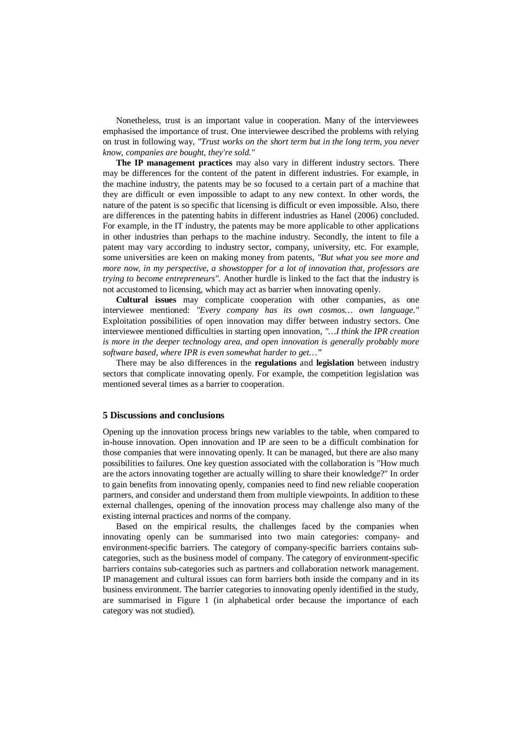Nonetheless, trust is an important value in cooperation. Many of the interviewees emphasised the importance of trust. One interviewee described the problems with relying on trust in following way, *"Trust works on the short term but in the long term, you never know, companies are bought, they're sold."*

**The IP management practices** may also vary in different industry sectors. There may be differences for the content of the patent in different industries. For example, in the machine industry, the patents may be so focused to a certain part of a machine that they are difficult or even impossible to adapt to any new context. In other words, the nature of the patent is so specific that licensing is difficult or even impossible. Also, there are differences in the patenting habits in different industries as Hanel (2006) concluded. For example, in the IT industry, the patents may be more applicable to other applications in other industries than perhaps to the machine industry. Secondly, the intent to file a patent may vary according to industry sector, company, university, etc. For example, some universities are keen on making money from patents, *"But what you see more and more now, in my perspective, a showstopper for a lot of innovation that, professors are trying to become entrepreneurs".* Another hurdle is linked to the fact that the industry is not accustomed to licensing, which may act as barrier when innovating openly.

**Cultural issues** may complicate cooperation with other companies, as one interviewee mentioned: *"Every company has its own cosmos… own language."* Exploitation possibilities of open innovation may differ between industry sectors. One interviewee mentioned difficulties in starting open innovation, *"…I think the IPR creation is more in the deeper technology area, and open innovation is generally probably more software based, where IPR is even somewhat harder to get…"*

There may be also differences in the **regulations** and **legislation** between industry sectors that complicate innovating openly. For example, the competition legislation was mentioned several times as a barrier to cooperation.

#### **5 Discussions and conclusions**

Opening up the innovation process brings new variables to the table, when compared to in-house innovation. Open innovation and IP are seen to be a difficult combination for those companies that were innovating openly. It can be managed, but there are also many possibilities to failures. One key question associated with the collaboration is "How much are the actors innovating together are actually willing to share their knowledge?" In order to gain benefits from innovating openly, companies need to find new reliable cooperation partners, and consider and understand them from multiple viewpoints. In addition to these external challenges, opening of the innovation process may challenge also many of the existing internal practices and norms of the company.

Based on the empirical results, the challenges faced by the companies when innovating openly can be summarised into two main categories: company- and environment-specific barriers. The category of company-specific barriers contains subcategories, such as the business model of company. The category of environment-specific barriers contains sub-categories such as partners and collaboration network management. IP management and cultural issues can form barriers both inside the company and in its business environment. The barrier categories to innovating openly identified in the study, are summarised in Figure 1 (in alphabetical order because the importance of each category was not studied).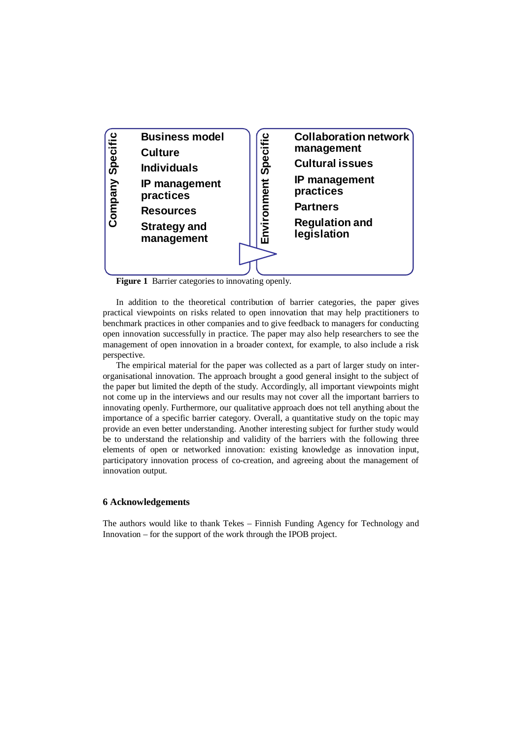

**Figure 1** Barrier categories to innovating openly.

In addition to the theoretical contribution of barrier categories, the paper gives practical viewpoints on risks related to open innovation that may help practitioners to benchmark practices in other companies and to give feedback to managers for conducting open innovation successfully in practice. The paper may also help researchers to see the management of open innovation in a broader context, for example, to also include a risk perspective.

The empirical material for the paper was collected as a part of larger study on interorganisational innovation. The approach brought a good general insight to the subject of the paper but limited the depth of the study. Accordingly, all important viewpoints might not come up in the interviews and our results may not cover all the important barriers to innovating openly. Furthermore, our qualitative approach does not tell anything about the importance of a specific barrier category. Overall, a quantitative study on the topic may provide an even better understanding. Another interesting subject for further study would be to understand the relationship and validity of the barriers with the following three elements of open or networked innovation: existing knowledge as innovation input, participatory innovation process of co-creation, and agreeing about the management of innovation output.

### **6 Acknowledgements**

The authors would like to thank Tekes – Finnish Funding Agency for Technology and Innovation – for the support of the work through the IPOB project.